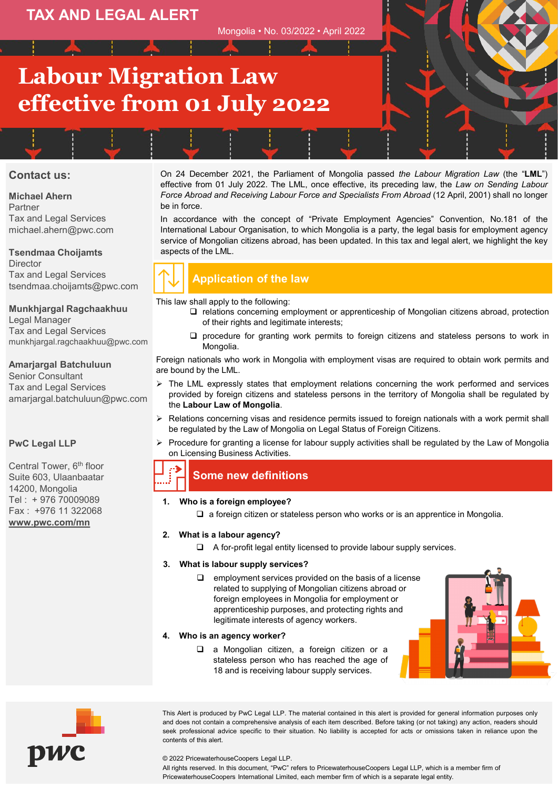## **TAX AND LEGAL ALERT**

Mongolia • No. 03/2022 • April 2022

# **Labour Migration Law effective from 01 July 2022**

### **Contact us:**

**Michael Ahern** Partner Tax and Legal Services michael.ahern@pwc.com

#### **Tsendmaa Choijamts Director** Tax and Legal Services

tsendmaa.choijamts@pwc.com

### **Munkhjargal Ragchaakhuu**

Legal Manager Tax and Legal Services munkhjargal.ragchaakhuu@pwc.com

#### **Amarjargal Batchuluun**

Senior Consultant Tax and Legal Services amarjargal.batchuluun@pwc.com

### **PwC Legal LLP**

Central Tower, 6<sup>th</sup> floor Suite 603, Ulaanbaatar 14200, Mongolia Tel : + 976 70009089 Fax : +976 11 322068 **[www.pwc.com/mn](http://www.pwc.com/mn)**

On 24 December 2021, the Parliament of Mongolia passed *the Labour Migration Law* (the "**LML**") effective from 01 July 2022. The LML, once effective, its preceding law, the *Law on Sending Labour Force Abroad and Receiving Labour Force and Specialists From Abroad* (12 April, 2001) shall no longer be in force.

In accordance with the concept of "Private Employment Agencies" Convention, No.181 of the International Labour Organisation, to which Mongolia is a party, the legal basis for employment agency service of Mongolian citizens abroad, has been updated. In this tax and legal alert, we highlight the key aspects of the LML.



## **Application of the law**

This law shall apply to the following:

- relations concerning employment or apprenticeship of Mongolian citizens abroad, protection of their rights and legitimate interests;
- $\square$  procedure for granting work permits to foreign citizens and stateless persons to work in Mongolia.

Foreign nationals who work in Mongolia with employment visas are required to obtain work permits and are bound by the LML.

- $\triangleright$  The LML expressly states that employment relations concerning the work performed and services provided by foreign citizens and stateless persons in the territory of Mongolia shall be regulated by the **Labour Law of Mongolia**.
- $\triangleright$  Relations concerning visas and residence permits issued to foreign nationals with a work permit shall be regulated by the Law of Mongolia on Legal Status of Foreign Citizens.
- Procedure for granting a license for labour supply activities shall be regulated by the Law of Mongolia on Licensing Business Activities.

## **Some new definitions**

#### **1. Who is a foreign employee?**

 $\Box$  a foreign citizen or stateless person who works or is an apprentice in Mongolia.

#### **2. What is a labour agency?**

- $\Box$  A for-profit legal entity licensed to provide labour supply services.
- **3. What is labour supply services?**
	- $\Box$  employment services provided on the basis of a license related to supplying of Mongolian citizens abroad or foreign employees in Mongolia for employment or apprenticeship purposes, and protecting rights and legitimate interests of agency workers.
- **4. Who is an agency worker?**
	- a Mongolian citizen, a foreign citizen or a stateless person who has reached the age of 18 and is receiving labour supply services.

pwc

#### seek professional advice specific to their situation. No liability is accepted for acts or omissions taken in reliance upon the contents of this alert.

#### © 2022 PricewaterhouseCoopers Legal LLP.

All rights reserved. In this document, "PwC" refers to PricewaterhouseCoopers Legal LLP, which is a member firm of PricewaterhouseCoopers International Limited, each member firm of which is a separate legal entity.

This Alert is produced by PwC Legal LLP. The material contained in this alert is provided for general information purposes only and does not contain a comprehensive analysis of each item described. Before taking (or not taking) any action, readers should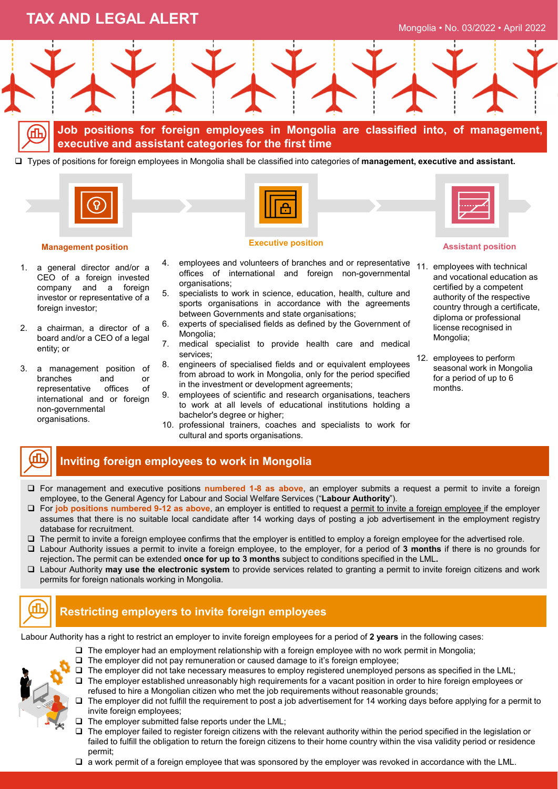## **TAX AND LEGAL ALERT**



**Job positions for foreign employees in Mongolia are classified into, of management, executive and assistant categories for the first time**

Types of positions for foreign employees in Mongolia shall be classified into categories of **management, executive and assistant.**



#### **Management position**

- 1. a general director and/or a CEO of a foreign invested company and a foreign investor or representative of a foreign investor:
- 2. a chairman, a director of a board and/or a CEO of a legal entity; or
- 3. a management position of branches and or representative offices of international and or foreign non-governmental organisations.



# **Executive position**

- 4. employees and volunteers of branches and or representative offices of international and foreign non-governmental organisations;
- 5. specialists to work in science, education, health, culture and sports organisations in accordance with the agreements between Governments and state organisations;
- 6. experts of specialised fields as defined by the Government of Mongolia;
- 7. medical specialist to provide health care and medical services;
- 8. engineers of specialised fields and or equivalent employees from abroad to work in Mongolia, only for the period specified in the investment or development agreements;
- 9. employees of scientific and research organisations, teachers to work at all levels of educational institutions holding a bachelor's degree or higher;
- 10. professional trainers, coaches and specialists to work for cultural and sports organisations.



#### **Assistant position**

- 11. employees with technical and vocational education as certified by a competent authority of the respective country through a certificate, diploma or professional license recognised in Mongolia;
- 12. employees to perform seasonal work in Mongolia for a period of up to 6 months.

## **Inviting foreign employees to work in Mongolia**

- For management and executive positions **numbered 1-8 as above**, an employer submits a request a permit to invite a foreign employee, to the General Agency for Labour and Social Welfare Services ("**Labour Authority**").
- For **job positions numbered 9-12 as above**, an employer is entitled to request a permit to invite a foreign employee if the employer assumes that there is no suitable local candidate after 14 working days of posting a job advertisement in the employment registry database for recruitment.
- $\Box$  The permit to invite a foreign employee confirms that the employer is entitled to employ a foreign employee for the advertised role.
- Labour Authority issues a permit to invite a foreign employee, to the employer, for a period of **3 months** if there is no grounds for rejection**.** The permit can be extended **once for up to 3 months** subject to conditions specified in the LML**.**
- Labour Authority **may use the electronic system** to provide services related to granting a permit to invite foreign citizens and work permits for foreign nationals working in Mongolia.



## **Restricting employers to invite foreign employees**

Labour Authority has a right to restrict an employer to invite foreign employees for a period of **2 years** in the following cases:

- $\Box$  The employer had an employment relationship with a foreign employee with no work permit in Mongolia;
- The employer did not pay remuneration or caused damage to it's foreign employee;



- The employer established unreasonably high requirements for a vacant position in order to hire foreign employees or refused to hire a Mongolian citizen who met the job requirements without reasonable grounds;
- $\Box$  The employer did not fulfill the requirement to post a job advertisement for 14 working days before applying for a permit to invite foreign employees;
- $\Box$  The employer submitted false reports under the LML;
- The employer failed to register foreign citizens with the relevant authority within the period specified in the legislation or failed to fulfill the obligation to return the foreign citizens to their home country within the visa validity period or residence permit;
- $\square$  a work permit of a foreign employee that was sponsored by the employer was revoked in accordance with the LML.